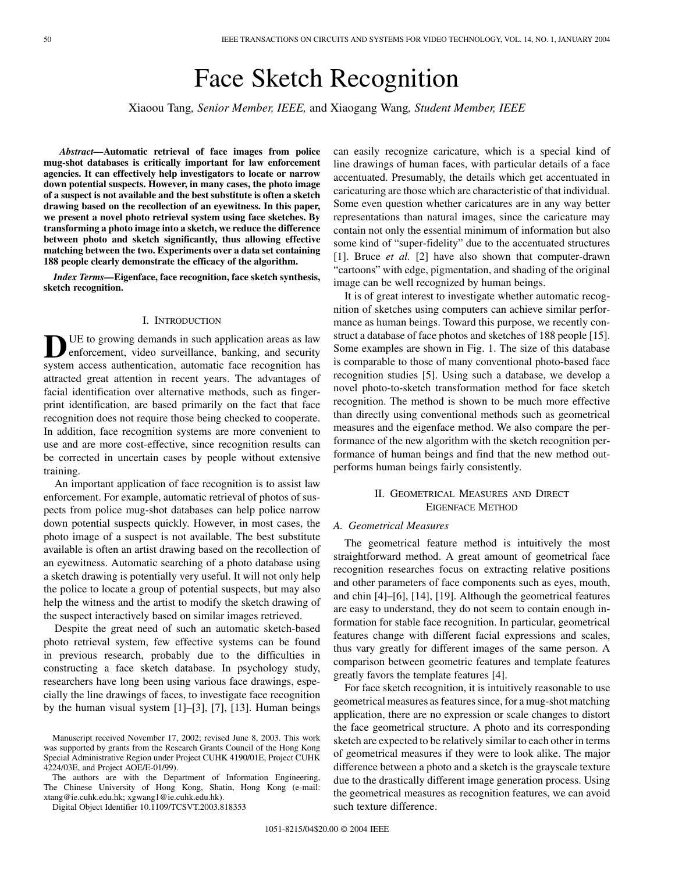# Face Sketch Recognition

Xiaoou Tang*, Senior Member, IEEE,* and Xiaogang Wang*, Student Member, IEEE*

*Abstract—***Automatic retrieval of face images from police mug-shot databases is critically important for law enforcement agencies. It can effectively help investigators to locate or narrow down potential suspects. However, in many cases, the photo image of a suspect is not available and the best substitute is often a sketch drawing based on the recollection of an eyewitness. In this paper, we present a novel photo retrieval system using face sketches. By transforming a photo image into a sketch, we reduce the difference between photo and sketch significantly, thus allowing effective matching between the two. Experiments over a data set containing 188 people clearly demonstrate the efficacy of the algorithm.**

*Index Terms—***Eigenface, face recognition, face sketch synthesis, sketch recognition.**

#### I. INTRODUCTION

**D**UE to growing demands in such application areas as law enforcement, video surveillance, banking, and security system access authentication, automatic face recognition has attracted great attention in recent years. The advantages of facial identification over alternative methods, such as fingerprint identification, are based primarily on the fact that face recognition does not require those being checked to cooperate. In addition, face recognition systems are more convenient to use and are more cost-effective, since recognition results can be corrected in uncertain cases by people without extensive training.

An important application of face recognition is to assist law enforcement. For example, automatic retrieval of photos of suspects from police mug-shot databases can help police narrow down potential suspects quickly. However, in most cases, the photo image of a suspect is not available. The best substitute available is often an artist drawing based on the recollection of an eyewitness. Automatic searching of a photo database using a sketch drawing is potentially very useful. It will not only help the police to locate a group of potential suspects, but may also help the witness and the artist to modify the sketch drawing of the suspect interactively based on similar images retrieved.

Despite the great need of such an automatic sketch-based photo retrieval system, few effective systems can be found in previous research, probably due to the difficulties in constructing a face sketch database. In psychology study, researchers have long been using various face drawings, especially the line drawings of faces, to investigate face recognition by the human visual system [[1\]](#page-6-0)–[[3\]](#page-6-0), [\[7](#page-6-0)], [[13\]](#page-7-0). Human beings

The authors are with the Department of Information Engineering, The Chinese University of Hong Kong, Shatin, Hong Kong (e-mail: xtang@ie.cuhk.edu.hk; xgwang1@ie.cuhk.edu.hk).

Digital Object Identifier 10.1109/TCSVT.2003.818353

can easily recognize caricature, which is a special kind of line drawings of human faces, with particular details of a face accentuated. Presumably, the details which get accentuated in caricaturing are those which are characteristic of that individual. Some even question whether caricatures are in any way better representations than natural images, since the caricature may contain not only the essential minimum of information but also some kind of "super-fidelity" due to the accentuated structures [[1\]](#page-6-0). Bruce *et al.* [\[2](#page-6-0)] have also shown that computer-drawn "cartoons" with edge, pigmentation, and shading of the original image can be well recognized by human beings.

It is of great interest to investigate whether automatic recognition of sketches using computers can achieve similar performance as human beings. Toward this purpose, we recently construct a database of face photos and sketches of 188 people [[15\]](#page-7-0). Some examples are shown in Fig. 1. The size of this database is comparable to those of many conventional photo-based face recognition studies [\[5](#page-6-0)]. Using such a database, we develop a novel photo-to-sketch transformation method for face sketch recognition. The method is shown to be much more effective than directly using conventional methods such as geometrical measures and the eigenface method. We also compare the performance of the new algorithm with the sketch recognition performance of human beings and find that the new method outperforms human beings fairly consistently.

# II. GEOMETRICAL MEASURES AND DIRECT EIGENFACE METHOD

# *A. Geometrical Measures*

The geometrical feature method is intuitively the most straightforward method. A great amount of geometrical face recognition researches focus on extracting relative positions and other parameters of face components such as eyes, mouth, and chin [\[4](#page-6-0)]–[[6\]](#page-6-0), [[14](#page-7-0)], [\[19](#page-7-0)]. Although the geometrical features are easy to understand, they do not seem to contain enough information for stable face recognition. In particular, geometrical features change with different facial expressions and scales, thus vary greatly for different images of the same person. A comparison between geometric features and template features greatly favors the template features [[4\]](#page-6-0).

For face sketch recognition, it is intuitively reasonable to use geometrical measures as features since, for a mug-shot matching application, there are no expression or scale changes to distort the face geometrical structure. A photo and its corresponding sketch are expected to be relatively similar to each other in terms of geometrical measures if they were to look alike. The major difference between a photo and a sketch is the grayscale texture due to the drastically different image generation process. Using the geometrical measures as recognition features, we can avoid such texture difference.

Manuscript received November 17, 2002; revised June 8, 2003. This work was supported by grants from the Research Grants Council of the Hong Kong Special Administrative Region under Project CUHK 4190/01E, Project CUHK 4224/03E, and Project AOE/E-01/99).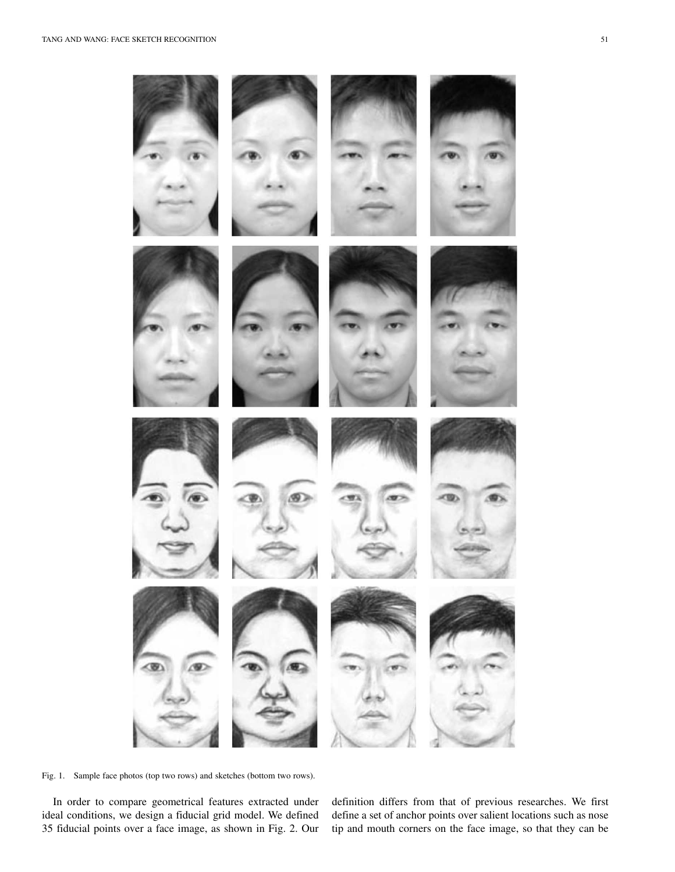



Fig. 1. Sample face photos (top two rows) and sketches (bottom two rows).

In order to compare geometrical features extracted under ideal conditions, we design a fiducial grid model. We defined 35 fiducial points over a face image, as shown in Fig. 2. Our definition differs from that of previous researches. We first define a set of anchor points over salient locations such as nose tip and mouth corners on the face image, so that they can be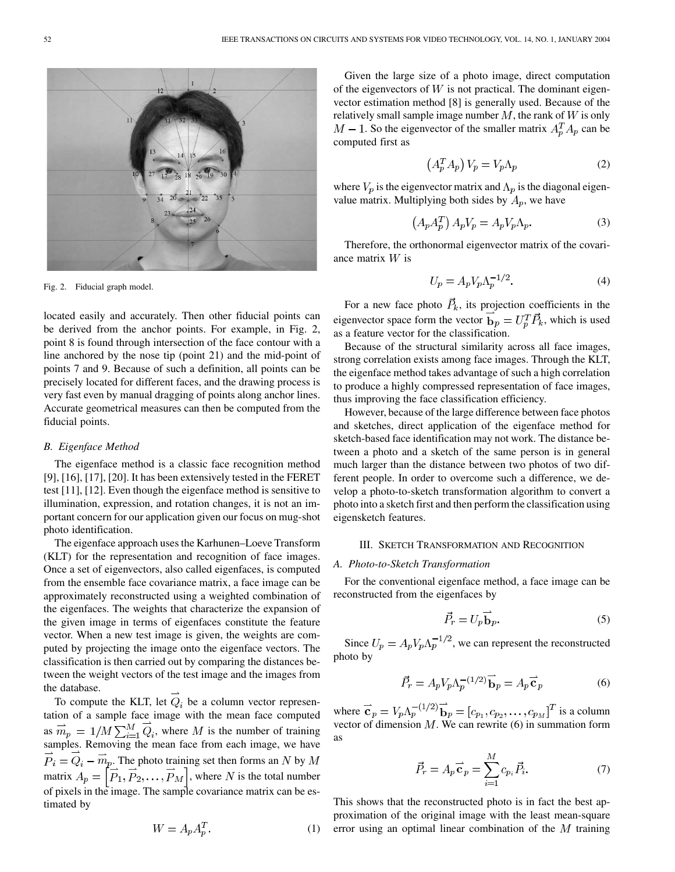

Fig. 2. Fiducial graph model.

located easily and accurately. Then other fiducial points can be derived from the anchor points. For example, in Fig. 2, point 8 is found through intersection of the face contour with a line anchored by the nose tip (point 21) and the mid-point of points 7 and 9. Because of such a definition, all points can be precisely located for different faces, and the drawing process is very fast even by manual dragging of points along anchor lines. Accurate geometrical measures can then be computed from the fiducial points.

#### *B. Eigenface Method*

The eigenface method is a classic face recognition method [[9\]](#page-6-0), [\[16](#page-7-0)], [\[17](#page-7-0)], [\[20](#page-7-0)]. It has been extensively tested in the FERET test [[11\]](#page-6-0), [\[12](#page-7-0)]. Even though the eigenface method is sensitive to illumination, expression, and rotation changes, it is not an important concern for our application given our focus on mug-shot photo identification.

The eigenface approach uses the Karhunen–Loeve Transform (KLT) for the representation and recognition of face images. Once a set of eigenvectors, also called eigenfaces, is computed from the ensemble face covariance matrix, a face image can be approximately reconstructed using a weighted combination of the eigenfaces. The weights that characterize the expansion of the given image in terms of eigenfaces constitute the feature vector. When a new test image is given, the weights are computed by projecting the image onto the eigenface vectors. The classification is then carried out by comparing the distances between the weight vectors of the test image and the images from the database.

To compute the KLT, let  $Q_i$  be a column vector representation of a sample face image with the mean face computed as  $m_p = 1/M \sum_{i=1}^{M} Q_i$ , where M is the number of training samples. Removing the mean face from each image, we have  $\overrightarrow{P}_i = \overrightarrow{Q}_i - \overrightarrow{m}_p$ . The photo training set then forms an N by M matrix  $A_p = \left[\vec{P}_1, \vec{P}_2, \dots, \vec{P}_M\right]$ , where N is the total number of pixels in the image. The sample covariance matrix can be estimated by

$$
W = A_p A_p^T. \tag{1}
$$

Given the large size of a photo image, direct computation of the eigenvectors of  $W$  is not practical. The dominant eigenvector estimation method [\[8](#page-6-0)] is generally used. Because of the relatively small sample image number  $M$ , the rank of  $W$  is only  $M-1$ . So the eigenvector of the smaller matrix  $A_p^T A_p$  can be computed first as

$$
\left(A_p^T A_p\right) V_p = V_p \Lambda_p \tag{2}
$$

where  $V_p$  is the eigenvector matrix and  $\Lambda_p$  is the diagonal eigenvalue matrix. Multiplying both sides by  $A_p$ , we have

$$
(A_p A_p^T) A_p V_p = A_p V_p \Lambda_p. \tag{3}
$$

Therefore, the orthonormal eigenvector matrix of the covariance matrix  $W$  is

$$
U_p = A_p V_p \Lambda_p^{-1/2}.
$$
 (4)

For a new face photo  $\vec{P}_k$ , its projection coefficients in the eigenvector space form the vector  $\overrightarrow{b}_p = U_p^T \overrightarrow{P}_k$ , which is used as a feature vector for the classification.

Because of the structural similarity across all face images, strong correlation exists among face images. Through the KLT, the eigenface method takes advantage of such a high correlation to produce a highly compressed representation of face images, thus improving the face classification efficiency.

However, because of the large difference between face photos and sketches, direct application of the eigenface method for sketch-based face identification may not work. The distance between a photo and a sketch of the same person is in general much larger than the distance between two photos of two different people. In order to overcome such a difference, we develop a photo-to-sketch transformation algorithm to convert a photo into a sketch first and then perform the classification using eigensketch features.

#### III. SKETCH TRANSFORMATION AND RECOGNITION

# *A. Photo-to-Sketch Transformation*

For the conventional eigenface method, a face image can be reconstructed from the eigenfaces by

$$
\vec{P}_r = U_p \vec{b}_p. \tag{5}
$$

Since  $U_p = A_p V_p \Lambda_p^{-1/2}$ , we can represent the reconstructed photo by

$$
\vec{P_r} = A_p V_p \Lambda_p^{-(1/2)} \vec{b}_p = A_p \vec{c}_p
$$
 (6)

where  ${\bf c}_p = V_p \Lambda_p^{-1/2} {\bf b}_p = [c_{p_1}, c_{p_2}, \dots, c_{p_M}]^T$  is a column vector of dimension  $M$ . We can rewrite (6) in summation form as

$$
\vec{P}_r = A_p \vec{\mathbf{c}}_p = \sum_{i=1}^M c_{p_i} \vec{P}_i.
$$
 (7)

This shows that the reconstructed photo is in fact the best approximation of the original image with the least mean-square error using an optimal linear combination of the  $M$  training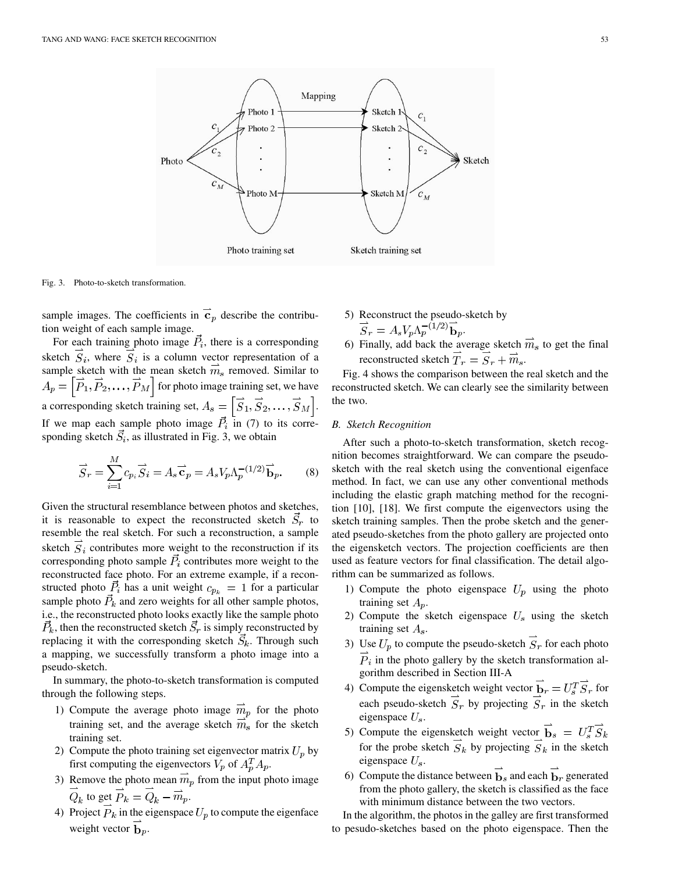

Fig. 3. Photo-to-sketch transformation.

sample images. The coefficients in  $\vec{c}_p$  describe the contribution weight of each sample image.

For each training photo image  $\vec{P}_i$ , there is a corresponding sketch  $\overline{S}_i$ , where  $\overline{S}_i$  is a column vector representation of a sample sketch with the mean sketch  $\overrightarrow{m}_s$  removed. Similar to  $A_p = \left[\vec{P}_1, \vec{P}_2, \dots, \vec{P}_M\right]$  for photo image training set, we have a corresponding sketch training set,  $A_s = \left[\vec{S}_1, \vec{S}_2, \dots, \vec{S}_M\right]$ . If we map each sample photo image  $P_i$  in (7) to its corresponding sketch  $S_i$ , as illustrated in Fig. 3, we obtain

$$
\overrightarrow{S}_r = \sum_{i=1}^M c_{p_i} \overrightarrow{S}_i = A_s \overrightarrow{\mathbf{c}}_p = A_s V_p \Lambda_p^{-(1/2)} \overrightarrow{\mathbf{b}}_p.
$$
 (8)

Given the structural resemblance between photos and sketches, it is reasonable to expect the reconstructed sketch  $\vec{S}_r$  to resemble the real sketch. For such a reconstruction, a sample sketch  $S_i$  contributes more weight to the reconstruction if its corresponding photo sample  $\vec{P}_i$  contributes more weight to the reconstructed face photo. For an extreme example, if a reconstructed photo  $\vec{P}_i$  has a unit weight  $c_{p_k} = 1$  for a particular sample photo  $\vec{P}_k$  and zero weights for all other sample photos, i.e., the reconstructed photo looks exactly like the sample photo  $\vec{P}_k$ , then the reconstructed sketch  $\vec{S}_r$  is simply reconstructed by replacing it with the corresponding sketch  $\vec{S}_k$ . Through such a mapping, we successfully transform a photo image into a pseudo-sketch.

In summary, the photo-to-sketch transformation is computed through the following steps.

- 1) Compute the average photo image  $\overline{m}_p$  for the photo training set, and the average sketch  $m_s$  for the sketch training set.
- 2) Compute the photo training set eigenvector matrix  $U_p$  by first computing the eigenvectors  $V_p$  of  $A_p^T A_p$ .
- 3) Remove the photo mean  $\overline{m}_p$  from the input photo image  $\overrightarrow{Q}_k$  to get  $\overrightarrow{P}_k = \overrightarrow{Q}_k - \overrightarrow{m}_p$ .
- 4) Project  $\overrightarrow{P}_k$  in the eigenspace  $U_p$  to compute the eigenface weight vector  $\mathbf{b}_p$ .
- 5) Reconstruct the pseudo-sketch by  $\overrightarrow{S}_r = A_s V_p \Lambda_p^{-\hat{(1/2)}} \overrightarrow{\mathbf{b}}_p.$
- 6) Finally, add back the average sketch  $\vec{m}_s$  to get the final reconstructed sketch  $\overrightarrow{T}_r = \overrightarrow{S}_r + \overrightarrow{m}_s$ .

Fig. 4 shows the comparison between the real sketch and the reconstructed sketch. We can clearly see the similarity between the two.

# *B. Sketch Recognition*

After such a photo-to-sketch transformation, sketch recognition becomes straightforward. We can compare the pseudosketch with the real sketch using the conventional eigenface method. In fact, we can use any other conventional methods including the elastic graph matching method for the recognition [\[10](#page-6-0)], [[18\]](#page-7-0). We first compute the eigenvectors using the sketch training samples. Then the probe sketch and the generated pseudo-sketches from the photo gallery are projected onto the eigensketch vectors. The projection coefficients are then used as feature vectors for final classification. The detail algorithm can be summarized as follows.

- 1) Compute the photo eigenspace  $U_p$  using the photo training set  $A_p$ .
- 2) Compute the sketch eigenspace  $U_s$  using the sketch training set  $A_s$ .
- 3) Use  $U_p$  to compute the pseudo-sketch  $\overrightarrow{S}_r$  for each photo  $\overrightarrow{P}_i$  in the photo gallery by the sketch transformation algorithm described in Section III-A
- 4) Compute the eigensketch weight vector  $\overline{\mathbf{b}}_r = U_s^T \overline{S}_r$  for each pseudo-sketch  $S_r$  by projecting  $\overline{S}_r$  in the sketch eigenspace  $U_s$ .
- 5) Compute the eigensketch weight vector  $\overrightarrow{b}_s = U_s^T \overrightarrow{S}_k$ for the probe sketch  $\overline{S}_k$  by projecting  $\overline{S}_k$  in the sketch eigenspace  $U_s$ .
- 6) Compute the distance between  $\overrightarrow{b}_s$  and each  $\overrightarrow{b}_r$  generated from the photo gallery, the sketch is classified as the face with minimum distance between the two vectors.

In the algorithm, the photos in the galley are first transformed to pesudo-sketches based on the photo eigenspace. Then the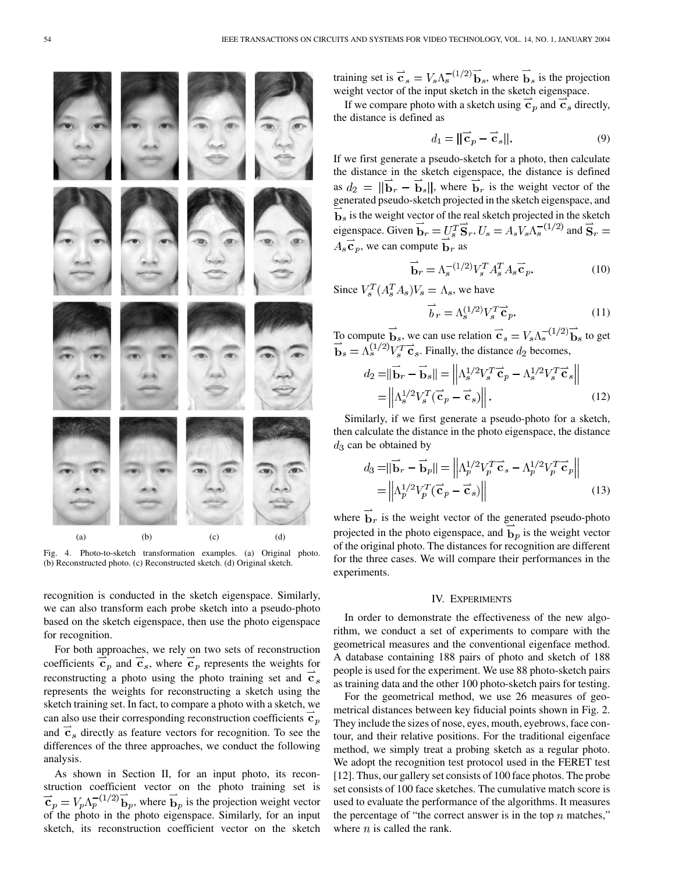

Fig. 4. Photo-to-sketch transformation examples. (a) Original photo. (b) Reconstructed photo. (c) Reconstructed sketch. (d) Original sketch.

recognition is conducted in the sketch eigenspace. Similarly, we can also transform each probe sketch into a pseudo-photo based on the sketch eigenspace, then use the photo eigenspace for recognition.

For both approaches, we rely on two sets of reconstruction coefficients  $c_p$  and  $c_s$ , where  $c_p$  represents the weights for reconstructing a photo using the photo training set and  $\overline{c}_s$ represents the weights for reconstructing a sketch using the sketch training set. In fact, to compare a photo with a sketch, we can also use their corresponding reconstruction coefficients  $\mathbf{c}_p$ and  $\vec{c}_s$  directly as feature vectors for recognition. To see the differences of the three approaches, we conduct the following analysis.

As shown in Section II, for an input photo, its reconstruction coefficient vector on the photo training set is  $\vec{\mathbf{c}}_p = V_p \Lambda_p^{-(1/2)} \vec{\mathbf{b}}_p$ , where  $\vec{\mathbf{b}}_p$  is the projection weight vector of the photo in the photo eigenspace. Similarly, for an input sketch, its reconstruction coefficient vector on the sketch training set is  $\mathbf{c}_s = V_s \Lambda_s^{-(1/2)} \mathbf{b}_s$ , where  $\mathbf{b}_s$  is the projection weight vector of the input sketch in the sketch eigenspace.

If we compare photo with a sketch using  $\vec{c}_p$  and  $\vec{c}_s$  directly, the distance is defined as

$$
d_1 = ||\vec{\mathbf{c}}_p - \vec{\mathbf{c}}_s||. \tag{9}
$$

If we first generate a pseudo-sketch for a photo, then calculate the distance in the sketch eigenspace, the distance is defined as  $d_2 = ||\mathbf{b}_r - \mathbf{b}_s||$ , where  $\mathbf{b}_r$  is the weight vector of the generated pseudo-sketch projected in the sketch eigenspace, and  $\overrightarrow{b}_s$  is the weight vector of the real sketch projected in the sketch eigenspace. Given  $\overrightarrow{b}_r = U_s^T \overrightarrow{S}_r, U_s = A_s V_s \Lambda_s^{-(1/2)}$  and  $\overrightarrow{S}_r =$  $A_s \vec{c}_p$ , we can compute  $\vec{b}_r$  as

$$
\overrightarrow{\mathbf{b}}_{r} = \Lambda_{s}^{-(1/2)} V_{s}^{T} A_{s}^{T} A_{s} \overrightarrow{\mathbf{c}}_{p}.
$$
 (10)

Since  $V_s^T(A_s^T A_s)V_s = \Lambda_s$ , we have

$$
\vec{b}_r = \Lambda_s^{(1/2)} V_s^T \vec{\mathbf{c}}_p. \tag{11}
$$

To compute  $\mathbf{b}_s$ , we can use relation  $\mathbf{c}_s = V_s \Lambda_s^{-(1/2)} \mathbf{b}_s$  to get . Finally, the distance  $d_2$  becomes,

$$
d_2 = ||\overrightarrow{\mathbf{b}}_r - \overrightarrow{\mathbf{b}}_s|| = \left\| \Lambda_s^{1/2} V_s^T \overrightarrow{\mathbf{c}}_p - \Lambda_s^{1/2} V_s^T \overrightarrow{\mathbf{c}}_s \right\|
$$
  
=  $\left\| \Lambda_s^{1/2} V_s^T (\overrightarrow{\mathbf{c}}_p - \overrightarrow{\mathbf{c}}_s) \right\|.$  (12)

Similarly, if we first generate a pseudo-photo for a sketch, then calculate the distance in the photo eigenspace, the distance  $d_3$  can be obtained by

$$
d_3 = ||\overrightarrow{\mathbf{b}}_r - \overrightarrow{\mathbf{b}}_p|| = ||\Lambda_p^{1/2} V_p^T \overrightarrow{\mathbf{c}}_s - \Lambda_p^{1/2} V_p^T \overrightarrow{\mathbf{c}}_p||
$$
  
=  $||\Lambda_p^{1/2} V_p^T (\overrightarrow{\mathbf{c}}_p - \overrightarrow{\mathbf{c}}_s)||$  (13)

where  $\mathbf{b}_r$  is the weight vector of the generated pseudo-photo projected in the photo eigenspace, and  $\mathbf{b}_p$  is the weight vector of the original photo. The distances for recognition are different for the three cases. We will compare their performances in the experiments.

### IV. EXPERIMENTS

In order to demonstrate the effectiveness of the new algorithm, we conduct a set of experiments to compare with the geometrical measures and the conventional eigenface method. A database containing 188 pairs of photo and sketch of 188 people is used for the experiment. We use 88 photo-sketch pairs as training data and the other 100 photo-sketch pairs for testing.

For the geometrical method, we use 26 measures of geometrical distances between key fiducial points shown in Fig. 2. They include the sizes of nose, eyes, mouth, eyebrows, face contour, and their relative positions. For the traditional eigenface method, we simply treat a probing sketch as a regular photo. We adopt the recognition test protocol used in the FERET test [[12\]](#page-7-0). Thus, our gallery set consists of 100 face photos. The probe set consists of 100 face sketches. The cumulative match score is used to evaluate the performance of the algorithms. It measures the percentage of "the correct answer is in the top  $n$  matches," where  $n$  is called the rank.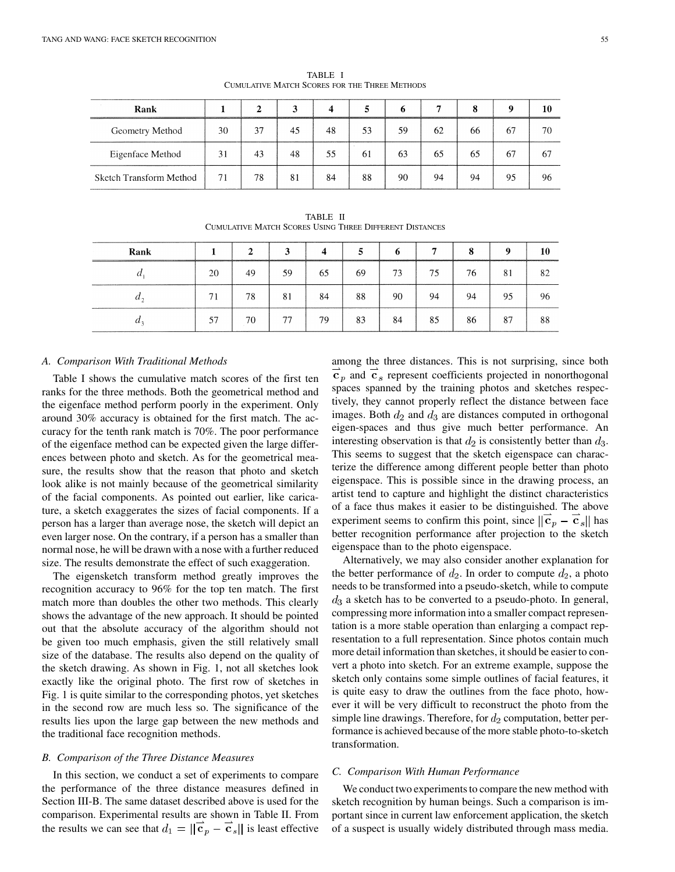| Rank                    |    |    |    |    |    |    |    | 8  |    | 10 |
|-------------------------|----|----|----|----|----|----|----|----|----|----|
| Geometry Method         | 30 | 37 | 45 | 48 | 53 | 59 | 62 | 66 | 67 | 70 |
| Eigenface Method        | 31 | 43 | 48 | 55 | 61 | 63 | 65 | 65 | 67 | 67 |
| Sketch Transform Method | 71 | 78 | 81 | 84 | 88 | 90 | 94 | 94 | 95 | 96 |

TABLE I CUMULATIVE MATCH SCORES FOR THE THREE METHODS

TABLE II CUMULATIVE MATCH SCORES USING THREE DIFFERENT DISTANCES

| Rank  |    | $\mathbf{2}$ | 3  | 4  | 5  | 6  | 7  | 8  | $\mathbf o$<br><b>MARKET DESCRIPTION OF THE PROPERTY AND RESIDENCE.</b> | 10 |
|-------|----|--------------|----|----|----|----|----|----|-------------------------------------------------------------------------|----|
|       | 20 | 49           | 59 | 65 | 69 | 73 | 75 | 76 | 81                                                                      | 82 |
| $\mu$ | 71 | 78           | 81 | 84 | 88 | 90 | 94 | 94 | 95                                                                      | 96 |
| $\mu$ | 57 | 70           | 77 | 79 | 83 | 84 | 85 | 86 | 87                                                                      | 88 |

# *A. Comparison With Traditional Methods*

Table I shows the cumulative match scores of the first ten ranks for the three methods. Both the geometrical method and the eigenface method perform poorly in the experiment. Only around 30% accuracy is obtained for the first match. The accuracy for the tenth rank match is 70%. The poor performance of the eigenface method can be expected given the large differences between photo and sketch. As for the geometrical measure, the results show that the reason that photo and sketch look alike is not mainly because of the geometrical similarity of the facial components. As pointed out earlier, like caricature, a sketch exaggerates the sizes of facial components. If a person has a larger than average nose, the sketch will depict an even larger nose. On the contrary, if a person has a smaller than normal nose, he will be drawn with a nose with a further reduced size. The results demonstrate the effect of such exaggeration.

The eigensketch transform method greatly improves the recognition accuracy to 96% for the top ten match. The first match more than doubles the other two methods. This clearly shows the advantage of the new approach. It should be pointed out that the absolute accuracy of the algorithm should not be given too much emphasis, given the still relatively small size of the database. The results also depend on the quality of the sketch drawing. As shown in Fig. 1, not all sketches look exactly like the original photo. The first row of sketches in Fig. 1 is quite similar to the corresponding photos, yet sketches in the second row are much less so. The significance of the results lies upon the large gap between the new methods and the traditional face recognition methods.

#### *B. Comparison of the Three Distance Measures*

In this section, we conduct a set of experiments to compare the performance of the three distance measures defined in Section III-B. The same dataset described above is used for the comparison. Experimental results are shown in Table II. From the results we can see that  $d_1 = ||\vec{c}_p - \vec{c}_s||$  is least effective among the three distances. This is not surprising, since both  $\overline{\mathbf{c}}_p$  and  $\overline{\mathbf{c}}_s$  represent coefficients projected in nonorthogonal spaces spanned by the training photos and sketches respectively, they cannot properly reflect the distance between face images. Both  $d_2$  and  $d_3$  are distances computed in orthogonal eigen-spaces and thus give much better performance. An interesting observation is that  $d_2$  is consistently better than  $d_3$ . This seems to suggest that the sketch eigenspace can characterize the difference among different people better than photo eigenspace. This is possible since in the drawing process, an artist tend to capture and highlight the distinct characteristics of a face thus makes it easier to be distinguished. The above experiment seems to confirm this point, since  $\|\overline{\mathbf{c}}_p - \overline{\mathbf{c}}_s\|$  has better recognition performance after projection to the sketch eigenspace than to the photo eigenspace.

Alternatively, we may also consider another explanation for the better performance of  $d_2$ . In order to compute  $d_2$ , a photo needs to be transformed into a pseudo-sketch, while to compute  $d_3$  a sketch has to be converted to a pseudo-photo. In general, compressing more information into a smaller compact representation is a more stable operation than enlarging a compact representation to a full representation. Since photos contain much more detail information than sketches, it should be easier to convert a photo into sketch. For an extreme example, suppose the sketch only contains some simple outlines of facial features, it is quite easy to draw the outlines from the face photo, however it will be very difficult to reconstruct the photo from the simple line drawings. Therefore, for  $d_2$  computation, better performance is achieved because of the more stable photo-to-sketch transformation.

# *C. Comparison With Human Performance*

We conduct two experiments to compare the new method with sketch recognition by human beings. Such a comparison is important since in current law enforcement application, the sketch of a suspect is usually widely distributed through mass media.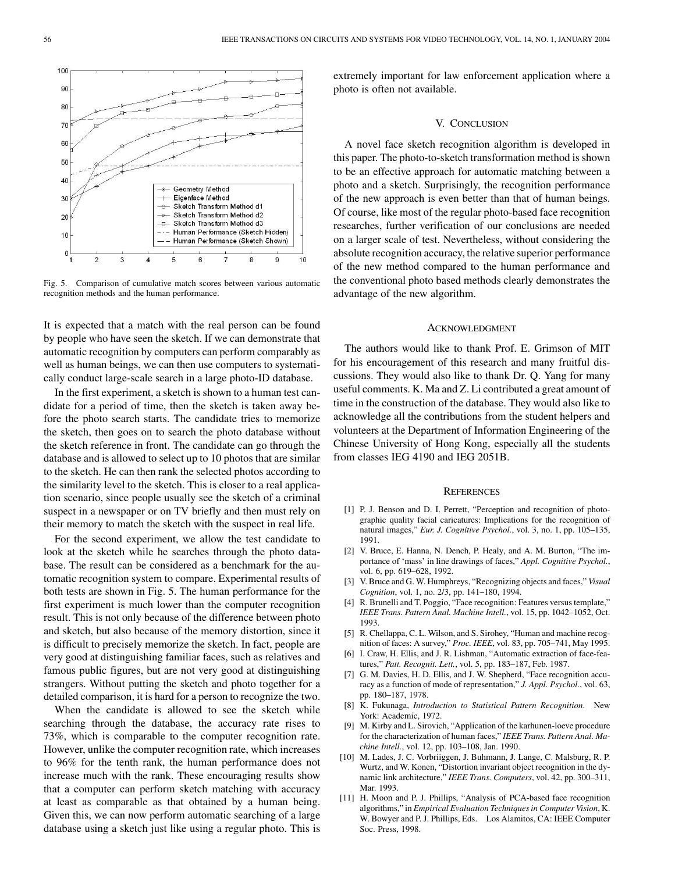<span id="page-6-0"></span>

Fig. 5. Comparison of cumulative match scores between various automatic recognition methods and the human performance.

It is expected that a match with the real person can be found by people who have seen the sketch. If we can demonstrate that automatic recognition by computers can perform comparably as well as human beings, we can then use computers to systematically conduct large-scale search in a large photo-ID database.

In the first experiment, a sketch is shown to a human test candidate for a period of time, then the sketch is taken away before the photo search starts. The candidate tries to memorize the sketch, then goes on to search the photo database without the sketch reference in front. The candidate can go through the database and is allowed to select up to 10 photos that are similar to the sketch. He can then rank the selected photos according to the similarity level to the sketch. This is closer to a real application scenario, since people usually see the sketch of a criminal suspect in a newspaper or on TV briefly and then must rely on their memory to match the sketch with the suspect in real life.

For the second experiment, we allow the test candidate to look at the sketch while he searches through the photo database. The result can be considered as a benchmark for the automatic recognition system to compare. Experimental results of both tests are shown in Fig. 5. The human performance for the first experiment is much lower than the computer recognition result. This is not only because of the difference between photo and sketch, but also because of the memory distortion, since it is difficult to precisely memorize the sketch. In fact, people are very good at distinguishing familiar faces, such as relatives and famous public figures, but are not very good at distinguishing strangers. Without putting the sketch and photo together for a detailed comparison, it is hard for a person to recognize the two.

When the candidate is allowed to see the sketch while searching through the database, the accuracy rate rises to 73%, which is comparable to the computer recognition rate. However, unlike the computer recognition rate, which increases to 96% for the tenth rank, the human performance does not increase much with the rank. These encouraging results show that a computer can perform sketch matching with accuracy at least as comparable as that obtained by a human being. Given this, we can now perform automatic searching of a large database using a sketch just like using a regular photo. This is extremely important for law enforcement application where a photo is often not available.

#### V. CONCLUSION

A novel face sketch recognition algorithm is developed in this paper. The photo-to-sketch transformation method is shown to be an effective approach for automatic matching between a photo and a sketch. Surprisingly, the recognition performance of the new approach is even better than that of human beings. Of course, like most of the regular photo-based face recognition researches, further verification of our conclusions are needed on a larger scale of test. Nevertheless, without considering the absolute recognition accuracy, the relative superior performance of the new method compared to the human performance and the conventional photo based methods clearly demonstrates the advantage of the new algorithm.

#### ACKNOWLEDGMENT

The authors would like to thank Prof. E. Grimson of MIT for his encouragement of this research and many fruitful discussions. They would also like to thank Dr. Q. Yang for many useful comments. K. Ma and Z. Li contributed a great amount of time in the construction of the database. They would also like to acknowledge all the contributions from the student helpers and volunteers at the Department of Information Engineering of the Chinese University of Hong Kong, especially all the students from classes IEG 4190 and IEG 2051B.

#### **REFERENCES**

- [1] P. J. Benson and D. I. Perrett, "Perception and recognition of photographic quality facial caricatures: Implications for the recognition of natural images," *Eur. J. Cognitive Psychol.*, vol. 3, no. 1, pp. 105–135, 1991.
- [2] V. Bruce, E. Hanna, N. Dench, P. Healy, and A. M. Burton, "The importance of 'mass' in line drawings of faces," *Appl. Cognitive Psychol.*, vol. 6, pp. 619–628, 1992.
- [3] V. Bruce and G. W. Humphreys, "Recognizing objects and faces," *Visual Cognition*, vol. 1, no. 2/3, pp. 141–180, 1994.
- [4] R. Brunelli and T. Poggio, "Face recognition: Features versus template," *IEEE Trans. Pattern Anal. Machine Intell.*, vol. 15, pp. 1042–1052, Oct. 1993.
- [5] R. Chellappa, C. L. Wilson, and S. Sirohey, "Human and machine recognition of faces: A survey," *Proc. IEEE*, vol. 83, pp. 705–741, May 1995.
- [6] I. Craw, H. Ellis, and J. R. Lishman, "Automatic extraction of face-features," *Patt. Recognit. Lett.*, vol. 5, pp. 183–187, Feb. 1987.
- [7] G. M. Davies, H. D. Ellis, and J. W. Shepherd, "Face recognition accuracy as a function of mode of representation," *J. Appl. Psychol.*, vol. 63, pp. 180–187, 1978.
- [8] K. Fukunaga, *Introduction to Statistical Pattern Recognition*. New York: Academic, 1972.
- [9] M. Kirby and L. Sirovich, "Application of the karhunen-loeve procedure for the characterization of human faces," *IEEE Trans. Pattern Anal. Machine Intell.*, vol. 12, pp. 103–108, Jan. 1990.
- [10] M. Lades, J. C. Vorbriiggen, J. Buhmann, J. Lange, C. Malsburg, R. P. Wurtz, and W. Konen, "Distortion invariant object recognition in the dynamic link architecture," *IEEE Trans. Computers*, vol. 42, pp. 300–311, Mar. 1993.
- [11] H. Moon and P. J. Phillips, "Analysis of PCA-based face recognition algorithms," in *Empirical Evaluation Techniques in Computer Vision*, K. W. Bowyer and P. J. Phillips, Eds. Los Alamitos, CA: IEEE Computer Soc. Press, 1998.